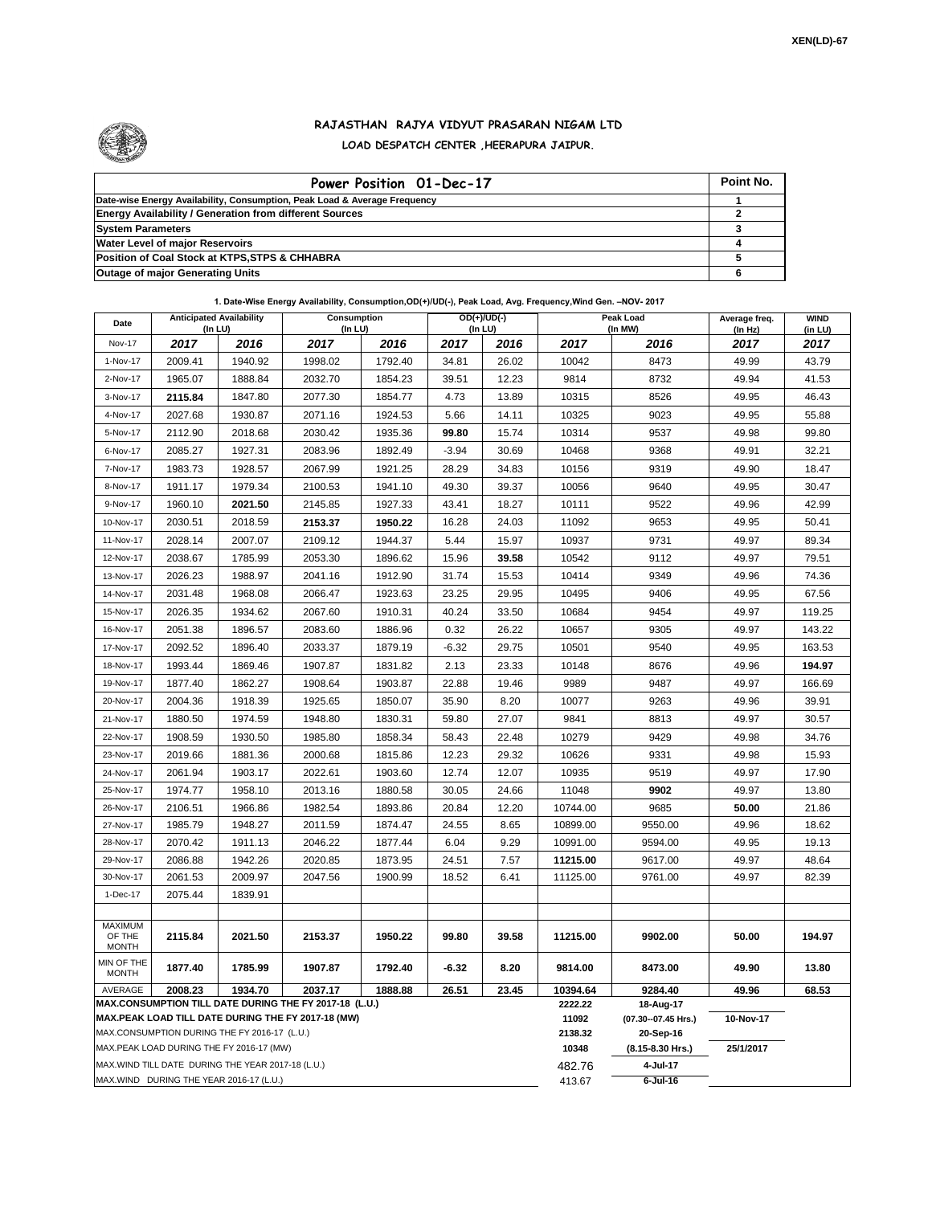

## **RAJASTHAN RAJYA VIDYUT PRASARAN NIGAM LTD LOAD DESPATCH CENTER ,HEERAPURA JAIPUR.**

| Power Position 01-Dec-17                                                  | Point No. |
|---------------------------------------------------------------------------|-----------|
| Date-wise Energy Availability, Consumption, Peak Load & Average Frequency |           |
| <b>Energy Availability / Generation from different Sources</b>            |           |
| <b>System Parameters</b>                                                  |           |
| <b>Water Level of major Reservoirs</b>                                    |           |
| Position of Coal Stock at KTPS, STPS & CHHABRA                            |           |
| <b>Outage of major Generating Units</b>                                   |           |

**1. Date-Wise Energy Availability, Consumption,OD(+)/UD(-), Peak Load, Avg. Frequency,Wind Gen. –NOV- 2017**

| Date                       | <b>Anticipated Availability</b><br>(In LU)                                                                   |         | Consumption<br>(In LU) |         | OD(+)/UD(-)<br>$($ In LU $)$ |                  | Peak Load<br>(In MW) |                                  | Average freq.<br>(In Hz) | <b>WIND</b><br>(in LU) |
|----------------------------|--------------------------------------------------------------------------------------------------------------|---------|------------------------|---------|------------------------------|------------------|----------------------|----------------------------------|--------------------------|------------------------|
| Nov-17                     | 2017                                                                                                         | 2016    | 2017                   | 2016    | 2017                         | 2016             | 2017                 | 2016                             | 2017                     | 2017                   |
| 1-Nov-17                   | 2009.41                                                                                                      | 1940.92 | 1998.02                | 1792.40 | 34.81                        | 26.02            | 10042                | 8473                             | 49.99                    | 43.79                  |
| 2-Nov-17                   | 1965.07                                                                                                      | 1888.84 | 2032.70                | 1854.23 | 39.51                        | 12.23            | 9814                 | 8732                             | 49.94                    | 41.53                  |
| 3-Nov-17                   | 2115.84                                                                                                      | 1847.80 | 2077.30                | 1854.77 | 4.73                         | 13.89            | 10315                | 8526                             | 49.95                    | 46.43                  |
| 4-Nov-17                   | 2027.68                                                                                                      | 1930.87 | 2071.16                | 1924.53 | 5.66                         | 14.11            | 10325                | 9023                             | 49.95                    | 55.88                  |
| 5-Nov-17                   | 2112.90                                                                                                      | 2018.68 | 2030.42                | 1935.36 | 99.80                        | 15.74            | 10314                | 9537                             | 49.98                    | 99.80                  |
| 6-Nov-17                   | 2085.27                                                                                                      | 1927.31 | 2083.96                | 1892.49 | $-3.94$                      | 30.69            | 10468                | 9368                             | 49.91                    | 32.21                  |
| 7-Nov-17                   | 1983.73                                                                                                      | 1928.57 | 2067.99                | 1921.25 | 28.29                        | 34.83            | 10156                | 9319                             | 49.90                    | 18.47                  |
| 8-Nov-17                   | 1911.17                                                                                                      | 1979.34 | 2100.53                | 1941.10 | 49.30                        | 39.37            | 10056                | 9640                             | 49.95                    | 30.47                  |
| 9-Nov-17                   | 1960.10                                                                                                      | 2021.50 | 2145.85                | 1927.33 | 43.41                        | 18.27            | 10111                | 9522                             | 49.96                    | 42.99                  |
| 10-Nov-17                  | 2030.51                                                                                                      | 2018.59 | 2153.37                | 1950.22 | 16.28                        | 24.03            | 11092                | 9653                             | 49.95                    | 50.41                  |
| 11-Nov-17                  | 2028.14                                                                                                      | 2007.07 | 2109.12                | 1944.37 | 5.44                         | 15.97            | 10937                | 9731                             | 49.97                    | 89.34                  |
| 12-Nov-17                  | 2038.67                                                                                                      | 1785.99 | 2053.30                | 1896.62 | 15.96                        | 39.58            | 10542                | 9112                             | 49.97                    | 79.51                  |
| 13-Nov-17                  | 2026.23                                                                                                      | 1988.97 | 2041.16                | 1912.90 | 31.74                        | 15.53            | 10414                | 9349                             | 49.96                    | 74.36                  |
| 14-Nov-17                  | 2031.48                                                                                                      | 1968.08 | 2066.47                | 1923.63 | 23.25                        | 29.95            | 10495                | 9406                             | 49.95                    | 67.56                  |
| 15-Nov-17                  | 2026.35                                                                                                      | 1934.62 | 2067.60                | 1910.31 | 40.24                        | 33.50            | 10684                | 9454                             | 49.97                    | 119.25                 |
| 16-Nov-17                  | 2051.38                                                                                                      | 1896.57 | 2083.60                | 1886.96 | 0.32                         | 26.22            | 10657                | 9305                             | 49.97                    | 143.22                 |
| 17-Nov-17                  | 2092.52                                                                                                      | 1896.40 | 2033.37                | 1879.19 | $-6.32$                      | 29.75            | 10501                | 9540                             | 49.95                    | 163.53                 |
| 18-Nov-17                  | 1993.44                                                                                                      | 1869.46 | 1907.87                | 1831.82 | 2.13                         | 23.33            | 10148                | 8676                             | 49.96                    | 194.97                 |
| 19-Nov-17                  | 1877.40                                                                                                      | 1862.27 | 1908.64                | 1903.87 | 22.88                        | 19.46            | 9989                 | 9487                             | 49.97                    | 166.69                 |
| 20-Nov-17                  | 2004.36                                                                                                      | 1918.39 | 1925.65                | 1850.07 | 35.90                        | 8.20             | 10077                | 9263                             | 49.96                    | 39.91                  |
| 21-Nov-17                  | 1880.50                                                                                                      | 1974.59 | 1948.80                | 1830.31 | 59.80                        | 27.07            | 9841                 | 8813                             | 49.97                    | 30.57                  |
| 22-Nov-17                  | 1908.59                                                                                                      | 1930.50 | 1985.80                | 1858.34 | 58.43                        | 22.48            | 10279                | 9429                             | 49.98                    | 34.76                  |
| 23-Nov-17                  | 2019.66                                                                                                      | 1881.36 | 2000.68                | 1815.86 | 12.23                        | 29.32            | 10626                | 9331                             | 49.98                    | 15.93                  |
| 24-Nov-17                  | 2061.94                                                                                                      | 1903.17 | 2022.61                | 1903.60 | 12.74                        | 12.07            | 10935                | 9519                             | 49.97                    | 17.90                  |
| 25-Nov-17                  | 1974.77                                                                                                      | 1958.10 | 2013.16                | 1880.58 | 30.05                        | 24.66            | 11048                | 9902                             | 49.97                    | 13.80                  |
| 26-Nov-17                  | 2106.51                                                                                                      | 1966.86 | 1982.54                | 1893.86 | 20.84                        | 12.20            | 10744.00             | 9685                             | 50.00                    | 21.86                  |
| 27-Nov-17                  | 1985.79                                                                                                      | 1948.27 | 2011.59                | 1874.47 | 24.55                        | 8.65             | 10899.00             | 9550.00                          | 49.96                    | 18.62                  |
| 28-Nov-17                  | 2070.42                                                                                                      | 1911.13 | 2046.22                | 1877.44 | 6.04                         | 9.29             | 10991.00             | 9594.00                          | 49.95                    | 19.13                  |
| 29-Nov-17                  | 2086.88                                                                                                      | 1942.26 | 2020.85                | 1873.95 | 24.51                        | 7.57             | 11215.00             | 9617.00                          | 49.97                    | 48.64                  |
| 30-Nov-17                  | 2061.53                                                                                                      | 2009.97 | 2047.56                | 1900.99 | 18.52                        | 6.41             | 11125.00             | 9761.00                          | 49.97                    | 82.39                  |
| 1-Dec-17                   | 2075.44                                                                                                      | 1839.91 |                        |         |                              |                  |                      |                                  |                          |                        |
| MAXIMUM                    |                                                                                                              |         |                        |         |                              |                  |                      |                                  |                          |                        |
| OF THE<br><b>MONTH</b>     | 2115.84                                                                                                      | 2021.50 | 2153.37                | 1950.22 | 99.80                        | 39.58            | 11215.00             | 9902.00                          | 50.00                    | 194.97                 |
| MIN OF THE<br><b>MONTH</b> | 1877.40                                                                                                      | 1785.99 | 1907.87                | 1792.40 | $-6.32$                      | 8.20             | 9814.00              | 8473.00                          | 49.90                    | 13.80                  |
| AVERAGE                    | 2008.23                                                                                                      | 1934.70 | 2037.17                | 1888.88 | 26.51                        | 23.45            | 10394.64<br>2222.22  | 9284.40                          | 49.96                    | 68.53                  |
|                            | MAX.CONSUMPTION TILL DATE DURING THE FY 2017-18 (L.U.)<br>MAX.PEAK LOAD TILL DATE DURING THE FY 2017-18 (MW) |         |                        |         |                              |                  |                      | 18-Aug-17<br>(07.30--07.45 Hrs.) | 10-Nov-17                |                        |
|                            | MAX.CONSUMPTION DURING THE FY 2016-17 (L.U.)                                                                 |         |                        |         |                              |                  |                      | 20-Sep-16                        |                          |                        |
|                            | MAX.PEAK LOAD DURING THE FY 2016-17 (MW)                                                                     |         |                        |         | 10348                        | (8.15-8.30 Hrs.) | 25/1/2017            |                                  |                          |                        |
|                            | MAX.WIND TILL DATE DURING THE YEAR 2017-18 (L.U.)                                                            |         |                        |         |                              |                  | 482.76               | 4-Jul-17                         |                          |                        |
|                            | MAX.WIND DURING THE YEAR 2016-17 (L.U.)                                                                      |         |                        |         |                              |                  | 413.67               | $6$ -Jul-16                      |                          |                        |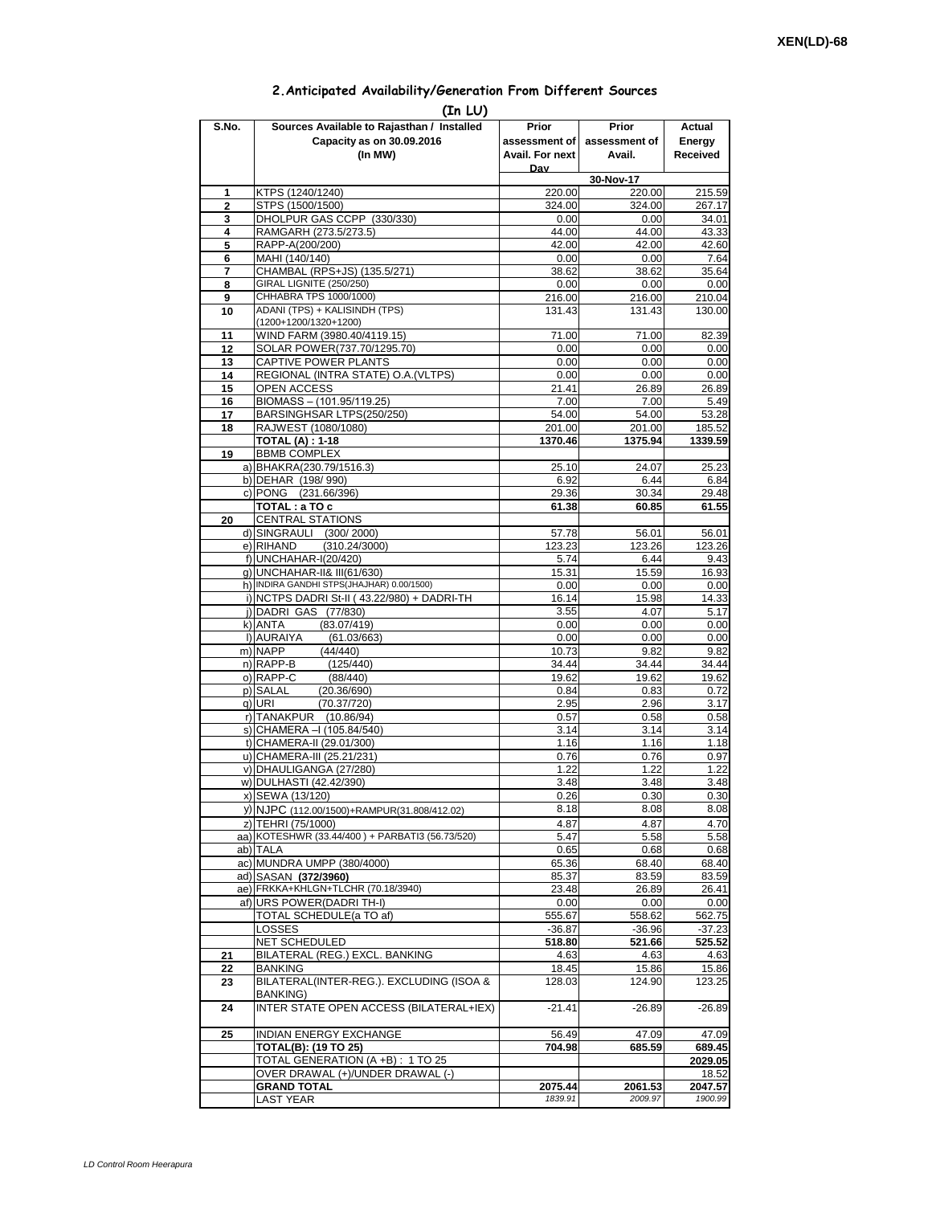## **2.Anticipated Availability/Generation From Different Sources**

|                | (In LU)                                                      |                 |                     |                 |
|----------------|--------------------------------------------------------------|-----------------|---------------------|-----------------|
| S.No.          | Sources Available to Rajasthan / Installed                   | Prior           | Prior               | Actual          |
|                | Capacity as on 30.09.2016                                    | assessment of I | assessment of       | Energy          |
|                | (In MW)                                                      | Avail. For next | Avail.              | Received        |
|                |                                                              | Dav             |                     |                 |
| 1              | KTPS (1240/1240)                                             | 220.00          | 30-Nov-17<br>220.00 | 215.59          |
| $\overline{2}$ | STPS (1500/1500)                                             | 324.00          | 324.00              | 267.17          |
| 3              | DHOLPUR GAS CCPP (330/330)                                   | 0.00            | 0.00                | 34.01           |
| 4              | RAMGARH (273.5/273.5)                                        | 44.00           | 44.00               | 43.33           |
| 5              | RAPP-A(200/200)                                              | 42.00           | 42.00               | 42.60           |
| 6              | MAHI (140/140)                                               | 0.00            | 0.00                | 7.64            |
| 7<br>8         | CHAMBAL (RPS+JS) (135.5/271)<br>GIRAL LIGNITE (250/250)      | 38.62<br>0.00   | 38.62<br>0.00       | 35.64<br>0.00   |
| 9              | CHHABRA TPS 1000/1000)                                       | 216.00          | 216.00              | 210.04          |
| 10             | ADANI (TPS) + KALISINDH (TPS)                                | 131.43          | 131.43              | 130.00          |
|                | (1200+1200/1320+1200)                                        |                 |                     |                 |
| 11             | WIND FARM (3980.40/4119.15)                                  | 71.00           | 71.00               | 82.39           |
| 12             | SOLAR POWER(737.70/1295.70)<br>CAPTIVE POWER PLANTS          | 0.00<br>0.00    | 0.00<br>0.00        | 0.00<br>0.00    |
| 13<br>14       | REGIONAL (INTRA STATE) O.A. (VLTPS)                          | 0.00            | 0.00                | 0.00            |
| 15             | <b>OPEN ACCESS</b>                                           | 21.41           | 26.89               | 26.89           |
| 16             | BIOMASS - (101.95/119.25)                                    | 7.00            | 7.00                | 5.49            |
| 17             | BARSINGHSAR LTPS(250/250)                                    | 54.00           | 54.00               | 53.28           |
| 18             | RAJWEST (1080/1080)                                          | 201.00          | 201.00              | 185.52          |
|                | <b>TOTAL (A): 1-18</b>                                       | 1370.46         | 1375.94             | 1339.59         |
| 19             | <b>BBMB COMPLEX</b><br>a) BHAKRA(230.79/1516.3)              | 25.10           | 24.07               | 25.23           |
|                | b) DEHAR (198/990)                                           | 6.92            | 6.44                | 6.84            |
|                | c) PONG (231.66/396)                                         | 29.36           | 30.34               | 29.48           |
|                | TOTAL: a TO c                                                | 61.38           | 60.85               | 61.55           |
| 20             | <b>CENTRAL STATIONS</b>                                      |                 |                     |                 |
|                | d) SINGRAULI (300/2000)                                      | 57.78           | 56.01               | 56.01           |
|                | e) RIHAND<br>(310.24/3000)                                   | 123.23          | 123.26              | 123.26          |
|                | f) UNCHAHAR-I(20/420)<br>g) UNCHAHAR-II& III(61/630)         | 5.74<br>15.31   | 6.44<br>15.59       | 9.43<br>16.93   |
|                | h) INDIRA GANDHI STPS(JHAJHAR) 0.00/1500)                    | 0.00            | 0.00                | 0.00            |
|                | i) NCTPS DADRI St-II (43.22/980) + DADRI-TH                  | 16.14           | 15.98               | 14.33           |
|                | j) DADRI GAS (77/830)                                        | 3.55            | 4.07                | 5.17            |
|                | (83.07/419)<br>k) ANTA                                       | 0.00            | 0.00                | 0.00            |
|                | I) AURAIYA<br>(61.03/663)<br>m) NAPP<br>(44/440)             | 0.00<br>10.73   | 0.00<br>9.82        | 0.00<br>9.82    |
|                | n) RAPP-B<br>(125/440)                                       | 34.44           | 34.44               | 34.44           |
|                | o) RAPP-C<br>(88/440)                                        | 19.62           | 19.62               | 19.62           |
|                | p) SALAL<br>(20.36/690)                                      | 0.84            | 0.83                | 0.72            |
|                | q) URI<br>(70.37/720)                                        | 2.95            | 2.96                | 3.17            |
|                | r) TANAKPUR (10.86/94)                                       | 0.57            | 0.58                | 0.58            |
|                | s) CHAMERA - (105.84/540)<br>t) CHAMERA-II (29.01/300)       | 3.14<br>1.16    | 3.14<br>1.16        | 3.14<br>1.18    |
|                | u) CHAMERA-III (25.21/231)                                   | 0.76            | 0.76                | 0.97            |
|                | v) DHAULIGANGA (27/280)                                      | 1.22            | 1.22                | 1.22            |
|                | w) DULHASTI (42.42/390)                                      | 3.48            | 3.48                | 3.48            |
|                | x) SEWA (13/120)                                             | 0.26            | 0.30                | 0.30            |
|                | y) NJPC (112.00/1500)+RAMPUR(31.808/412.02)                  | 8.18            | 8.08                | 8.08            |
|                | z) TEHRI (75/1000)                                           | 4.87            | 4.87                | 4.70            |
|                | aa) KOTESHWR (33.44/400) + PARBATI3 (56.73/520)<br>ab) TALA  | 5.47            | 5.58                | 5.58            |
|                | ac) MUNDRA UMPP (380/4000)                                   | 0.65<br>65.36   | 0.68<br>68.40       | 0.68<br>68.40   |
|                | ad) SASAN (372/3960)                                         | 85.37           | 83.59               | 83.59           |
|                | ae) FRKKA+KHLGN+TLCHR (70.18/3940)                           | 23.48           | 26.89               | 26.41           |
|                | af) URS POWER(DADRITH-I)                                     | 0.00            | 0.00                | 0.00            |
|                | TOTAL SCHEDULE(a TO af)                                      | 555.67          | 558.62              | 562.75          |
|                | LOSSES                                                       | $-36.87$        | $-36.96$            | $-37.23$        |
| 21             | NET SCHEDULED<br>BILATERAL (REG.) EXCL. BANKING              | 518.80<br>4.63  | 521.66<br>4.63      | 525.52<br>4.63  |
| 22             | BANKING                                                      | 18.45           | 15.86               | 15.86           |
| 23             | BILATERAL(INTER-REG.). EXCLUDING (ISOA &                     | 128.03          | 124.90              | 123.25          |
|                | BANKING)                                                     |                 |                     |                 |
| 24             | INTER STATE OPEN ACCESS (BILATERAL+IEX)                      | $-21.41$        | $-26.89$            | $-26.89$        |
|                |                                                              |                 |                     |                 |
| 25             | <b>INDIAN ENERGY EXCHANGE</b><br><b>TOTAL(B): (19 TO 25)</b> | 56.49<br>704.98 | 47.09<br>685.59     | 47.09<br>689.45 |
|                | TOTAL GENERATION (A +B) : 1 TO 25                            |                 |                     | 2029.05         |
|                | OVER DRAWAL (+)/UNDER DRAWAL (-)                             |                 |                     | 18.52           |
|                | <b>GRAND TOTAL</b>                                           | 2075.44         | 2061.53             | 2047.57         |
|                | <b>LAST YEAR</b>                                             | 1839.91         | 2009.97             | 1900.99         |